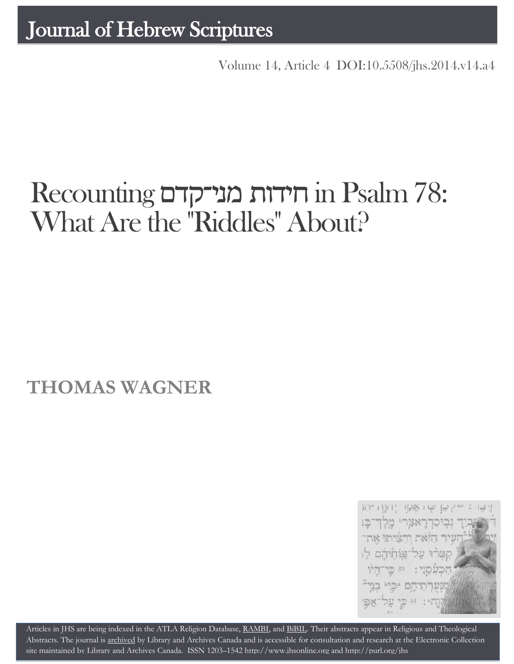[Volume 14, Article 4 DOI:10.5508/jhs.2014.v14.a4](http://dx.doi.org/10.5508/jhs.2014.v14.a4)

# Recounting מני־קדם חידות in Psalm 78: What Are the "Riddles" About?

## **THOMAS WAGNER**



Articles in JHS are being indexed in the ATLA Religion Database, [RAMBI,](http://jnul.huji.ac.il/rambi/) an[d BiBIL.](http://bibil.net/) Their abstracts appear in Religious and Theological Abstracts. The journal is [archived](http://epe.lac-bac.gc.ca/100/201/300/journal_hebrew/index.html) by Library and Archives Canada and is accessible for consultation and research at the Electronic Collection site maintained b[y Library and Archives Canada.](http://collectionscanada.ca/electroniccollection/003008-200-e.html) ISSN 1203–154[2 http://www.jhsonline.org](http://www.jhsonline.org/) and<http://purl.org/jhs>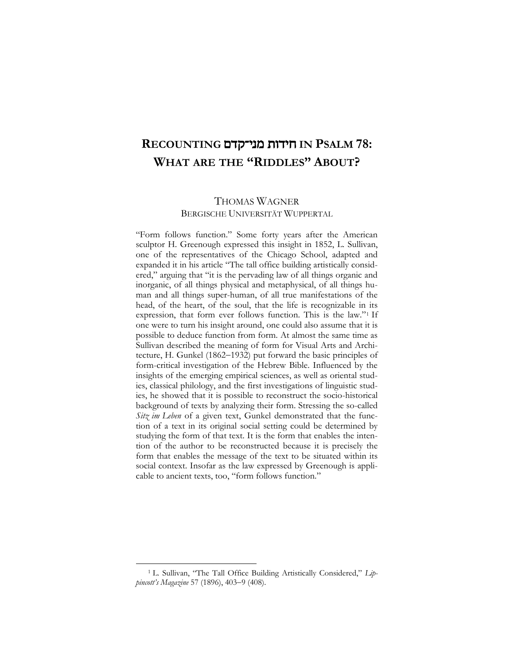### **RECOUNTING** מני־קדם חידות **IN PSALM 78: WHAT ARE THE "RIDDLES" ABOUT?**

#### THOMAS WAGNER BERGISCHE UNIVERSITÄT WUPPERTAL

"Form follows function." Some forty years after the American sculptor H. Greenough expressed this insight in 1852, L. Sullivan, one of the representatives of the Chicago School, adapted and expanded it in his article "The tall office building artistically considered," arguing that "it is the pervading law of all things organic and inorganic, of all things physical and metaphysical, of all things human and all things super-human, of all true manifestations of the head, of the heart, of the soul, that the life is recognizable in its expression, that form ever follows function. This is the law."<sup>1</sup> If one were to turn his insight around, one could also assume that it is possible to deduce function from form. At almost the same time as Sullivan described the meaning of form for Visual Arts and Architecture, H. Gunkel (1862-1932) put forward the basic principles of form-critical investigation of the Hebrew Bible. Influenced by the insights of the emerging empirical sciences, as well as oriental studies, classical philology, and the first investigations of linguistic studies, he showed that it is possible to reconstruct the socio-historical background of texts by analyzing their form. Stressing the so-called *Sitz im Leben* of a given text, Gunkel demonstrated that the function of a text in its original social setting could be determined by studying the form of that text. It is the form that enables the intention of the author to be reconstructed because it is precisely the form that enables the message of the text to be situated within its social context. Insofar as the law expressed by Greenough is applicable to ancient texts, too, "form follows function."

<sup>1</sup> L. Sullivan, "The Tall Office Building Artistically Considered," *Lippincott's Magazine* 57 (1896), 403-9 (408).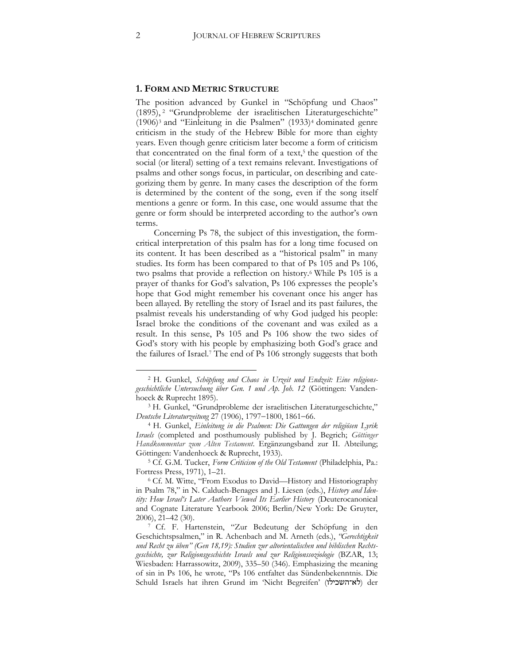#### **1. FORM AND METRIC STRUCTURE**

The position advanced by Gunkel in "Schöpfung und Chaos" (1895), <sup>2</sup> "Grundprobleme der israelitischen Literaturgeschichte" (1906)<sup>3</sup> and "Einleitung in die Psalmen" (1933)<sup>4</sup> dominated genre criticism in the study of the Hebrew Bible for more than eighty years. Even though genre criticism later become a form of criticism that concentrated on the final form of a text,<sup>5</sup> the question of the social (or literal) setting of a text remains relevant. Investigations of psalms and other songs focus, in particular, on describing and categorizing them by genre. In many cases the description of the form is determined by the content of the song, even if the song itself mentions a genre or form. In this case, one would assume that the genre or form should be interpreted according to the author's own terms.

Concerning Ps 78, the subject of this investigation, the formcritical interpretation of this psalm has for a long time focused on its content. It has been described as a "historical psalm" in many studies. Its form has been compared to that of Ps 105 and Ps 106, two psalms that provide a reflection on history.<sup>6</sup> While Ps 105 is a prayer of thanks for God's salvation, Ps 106 expresses the people's hope that God might remember his covenant once his anger has been allayed. By retelling the story of Israel and its past failures, the psalmist reveals his understanding of why God judged his people: Israel broke the conditions of the covenant and was exiled as a result. In this sense, Ps 105 and Ps 106 show the two sides of God's story with his people by emphasizing both God's grace and the failures of Israel.<sup>7</sup> The end of Ps 106 strongly suggests that both

<sup>2</sup> H. Gunkel, *Schöpfung und Chaos in Urzeit und Endzeit: Eine religionsgeschichtliche Untersuchung über Gen. 1 und Ap. Joh. 12* (Göttingen: Vandenhoeck & Ruprecht 1895).

<sup>3</sup> H. Gunkel, "Grundprobleme der israelitischen Literaturgeschichte," *Deutsche Literaturzeitung* 27 (1906), 1797-1800, 1861-66.

<sup>4</sup> H. Gunkel, *Einleitung in die Psalmen: Die Gattungen der religiösen Lyrik Israels* (completed and posthumously published by J. Begrich; *Göttinger Handkommentar zum Alten Testament*. Ergänzungsband zur II. Abteilung; Göttingen: Vandenhoeck & Ruprecht, 1933).

<sup>5</sup> Cf. G.M. Tucker, *Form Criticism of the Old Testament* (Philadelphia, Pa.: Fortress Press, 1971), 1–21.

<sup>6</sup> Cf. M. Witte, "From Exodus to David—History and Historiography in Psalm 78," in N. Calduch-Benages and J. Liesen (eds.), *History and Identity: How Israel's Later Authors Viewed Its Earlier History* (Deuterocanonical and Cognate Literature Yearbook 2006; Berlin/New York: De Gruyter, 2006), 21–42 (30).

<sup>7</sup> Cf. F. Hartenstein, "Zur Bedeutung der Schöpfung in den Geschichtspsalmen," in R. Achenbach and M. Arneth (eds.), *"Gerechtigkeit und Recht zu üben" (Gen 18,19): Studien zur altorientalischen und biblischen Rechtsgeschichte, zur Religionsgeschichte Israels und zur Religionssoziologie* (BZAR, 13; Wiesbaden: Harrassowitz, 2009), 335–50 (346). Emphasizing the meaning of sin in Ps 106, he wrote, "Ps 106 entfaltet das Sündenbekenntnis. Die Schuld Israels hat ihren Grund im 'Nicht Begreifen' (לא־השכילו) der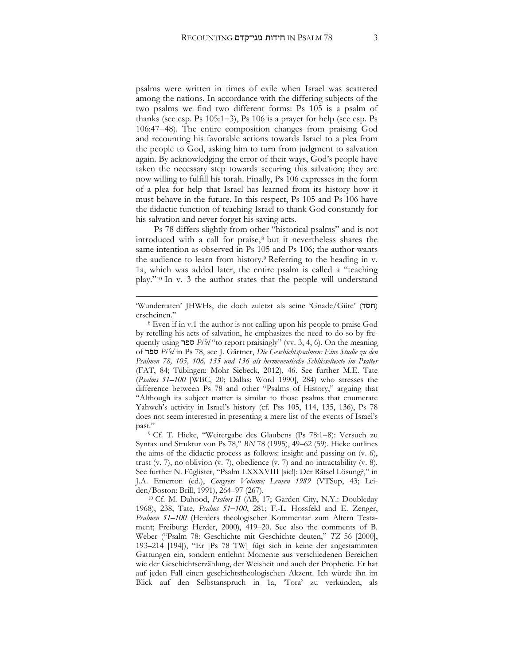psalms were written in times of exile when Israel was scattered among the nations. In accordance with the differing subjects of the two psalms we find two different forms: Ps 105 is a psalm of thanks (see esp. Ps  $105:1-3$ ), Ps 106 is a prayer for help (see esp. Ps 106:4748). The entire composition changes from praising God and recounting his favorable actions towards Israel to a plea from the people to God, asking him to turn from judgment to salvation again. By acknowledging the error of their ways, God's people have taken the necessary step towards securing this salvation; they are now willing to fulfill his torah. Finally, Ps 106 expresses in the form of a plea for help that Israel has learned from its history how it must behave in the future. In this respect, Ps 105 and Ps 106 have the didactic function of teaching Israel to thank God constantly for his salvation and never forget his saving acts.

Ps 78 differs slightly from other "historical psalms" and is not introduced with a call for praise, <sup>8</sup> but it nevertheless shares the same intention as observed in Ps 105 and Ps 106; the author wants the audience to learn from history.<sup>9</sup> Referring to the heading in v. 1a, which was added later, the entire psalm is called a "teaching play."<sup>10</sup> In v. 3 the author states that the people will understand

**.** 

<sup>&#</sup>x27;Wundertaten' JHWHs, die doch zuletzt als seine 'Gnade/Güte' (חסד) erscheinen."

<sup>8</sup> Even if in v.1 the author is not calling upon his people to praise God by retelling his acts of salvation, he emphasizes the need to do so by frequently using ספר *Pi*ʿ*el* "to report praisingly" (vv. 3, 4, 6). On the meaning of ספר *Pi*ʿ*el* in Ps 78, see J. Gärtner, *Die Geschichtspsalmen: Eine Studie zu den Psalmen 78, 105, 106, 135 und 136 als hermeneutische Schlüsseltexte im Psalter* (FAT, 84; Tübingen: Mohr Siebeck, 2012), 46. See further M.E. Tate (*Psalms 51–100* [WBC, 20; Dallas: Word 1990], 284) who stresses the difference between Ps 78 and other "Psalms of History," arguing that "Although its subject matter is similar to those psalms that enumerate Yahweh's activity in Israel's history (cf. Pss 105, 114, 135, 136), Ps 78 does not seem interested in presenting a mere list of the events of Israel's past."

<sup>&</sup>lt;sup>9</sup> Cf. T. Hieke, "Weitergabe des Glaubens (Ps 78:1-8): Versuch zu Syntax und Struktur von Ps 78," *BN* 78 (1995), 49–62 (59). Hieke outlines the aims of the didactic process as follows: insight and passing on (v. 6), trust (v. 7), no oblivion (v. 7), obedience (v. 7) and no intractability (v. 8). See further N. Füglister, "Psalm LXXXVIII [sic!]: Der Rätsel Lösung?," in J.A. Emerton (ed.), *Congress Volume: Leuven 1989* (VTSup, 43; Leiden/Boston: Brill, 1991), 264–97 (267).

<sup>10</sup> Cf. M. Dahood, *Psalms II* (AB, 17; Garden City, N.Y.: Doubleday 1968), 238; Tate, *Psalms 51100*, 281; F.-L. Hossfeld and E. Zenger, *Psalmen 51–100* (Herders theologischer Kommentar zum Altern Testament; Freiburg: Herder, 2000), 419–20. See also the comments of B. Weber ("Psalm 78: Geschichte mit Geschichte deuten," *TZ* 56 [2000], 193–214 [194]), "Er [Ps 78 TW] fügt sich in keine der angestammten Gattungen ein, sondern entlehnt Momente aus verschiedenen Bereichen wie der Geschichtserzählung, der Weisheit und auch der Prophetie. Er hat auf jeden Fall einen geschichtstheologischen Akzent. Ich würde ihn im Blick auf den Selbstanspruch in 1a, 'Tora' zu verkünden, als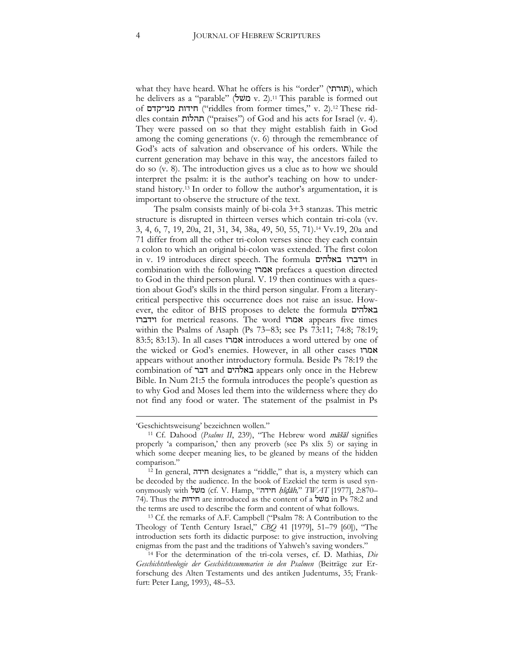what they have heard. What he offers is his "order" (תורתי), which he delivers as a "parable" (שעל  $v. 2$ .<sup>11</sup> This parable is formed out of חידות מני־קדם ("riddles from former times," v. 2).<sup>12</sup> These riddles contain תהלות") praises") of God and his acts for Israel (v. 4). They were passed on so that they might establish faith in God among the coming generations (v. 6) through the remembrance of God's acts of salvation and observance of his orders. While the current generation may behave in this way, the ancestors failed to do so (v. 8). The introduction gives us a clue as to how we should interpret the psalm: it is the author's teaching on how to understand history.<sup>13</sup> In order to follow the author's argumentation, it is important to observe the structure of the text.

The psalm consists mainly of bi-cola 3+3 stanzas. This metric structure is disrupted in thirteen verses which contain tri-cola (vv. 3, 4, 6, 7, 19, 20a, 21, 31, 34, 38a, 49, 50, 55, 71).<sup>14</sup> Vv.19, 20a and 71 differ from all the other tri-colon verses since they each contain a colon to which an original bi-colon was extended. The first colon in v. 19 introduces direct speech. The formula באלהים וידברו in combination with the following אמרו prefaces a question directed to God in the third person plural. V. 19 then continues with a question about God's skills in the third person singular. From a literarycritical perspective this occurrence does not raise an issue. However, the editor of BHS proposes to delete the formula באלהים וידברו for metrical reasons. The word אמרו appears five times within the Psalms of Asaph (Ps 73-83; see Ps 73:11; 74:8; 78:19; 83:5; 83:13). In all cases אמרו introduces a word uttered by one of the wicked or God's enemies. However, in all other cases אמרו appears without another introductory formula. Beside Ps 78:19 the combination of דבר and באלהים appears only once in the Hebrew Bible. In Num 21:5 the formula introduces the people's question as to why God and Moses led them into the wilderness where they do not find any food or water. The statement of the psalmist in Ps

**.** 

<sup>&#</sup>x27;Geschichtsweisung' bezeichnen wollen."

<sup>11</sup> Cf. Dahood (*Psalms II*, 239), "The Hebrew word māšāl signifies properly 'a comparison,' then any proverb (see Ps xlix 5) or saying in which some deeper meaning lies, to be gleaned by means of the hidden comparison."

<sup>12</sup> In general, חידה designates a "riddle," that is, a mystery which can be decoded by the audience. In the book of Ezekiel the term is used synonymously with שׁל מ) cf. V. Hamp, "חידה ḥîḏāh*,*" *TWAT* [1977], 2:870– 74). Thus the חידות are introduced as the content of a שׁל מ in Ps 78:2 and the terms are used to describe the form and content of what follows.

<sup>13</sup> Cf. the remarks of A.F. Campbell ("Psalm 78: A Contribution to the Theology of Tenth Century Israel," *CBQ* 41 [1979], 51–79 [60]), "The introduction sets forth its didactic purpose: to give instruction, involving enigmas from the past and the traditions of Yahweh's saving wonders."

<sup>14</sup> For the determination of the tri-cola verses, cf. D. Mathias, *Die Geschichtstheologie der Geschichtssummarien in den Psalmen* (Beiträge zur Erforschung des Alten Testaments und des antiken Judentums, 35; Frankfurt: Peter Lang, 1993), 48–53.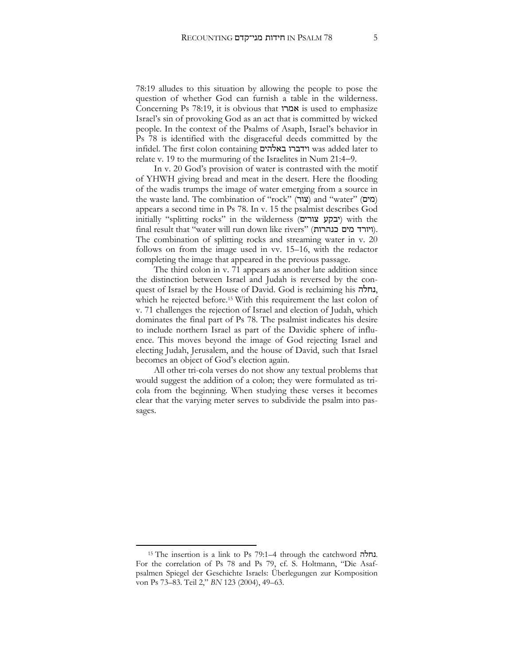78:19 alludes to this situation by allowing the people to pose the question of whether God can furnish a table in the wilderness. Concerning Ps 78:19, it is obvious that אמרו is used to emphasize Israel's sin of provoking God as an act that is committed by wicked people. In the context of the Psalms of Asaph, Israel's behavior in Ps 78 is identified with the disgraceful deeds committed by the infidel. The first colon containing באלהים וידברו was added later to relate v. 19 to the murmuring of the Israelites in Num 21:4-9.

In v. 20 God's provision of water is contrasted with the motif of YHWH giving bread and meat in the desert. Here the flooding of the wadis trumps the image of water emerging from a source in the waste land. The combination of "rock" (מים) and "water" (מים) appears a second time in Ps 78. In v. 15 the psalmist describes God initially "splitting rocks" in the wilderness (יבקע צורים) with the final result that "water will run down like rivers" (ויורד מים כנהרות). The combination of splitting rocks and streaming water in v. 20 follows on from the image used in vv. 15–16, with the redactor completing the image that appeared in the previous passage.

The third colon in v. 71 appears as another late addition since the distinction between Israel and Judah is reversed by the conquest of Israel by the House of David. God is reclaiming his נחלה, which he rejected before.<sup>15</sup> With this requirement the last colon of v. 71 challenges the rejection of Israel and election of Judah, which dominates the final part of Ps 78. The psalmist indicates his desire to include northern Israel as part of the Davidic sphere of influence. This moves beyond the image of God rejecting Israel and electing Judah, Jerusalem, and the house of David, such that Israel becomes an object of God's election again.

All other tri-cola verses do not show any textual problems that would suggest the addition of a colon; they were formulated as tricola from the beginning. When studying these verses it becomes clear that the varying meter serves to subdivide the psalm into passages.

<sup>15</sup> The insertion is a link to Ps 79:1–4 through the catchword נחלה. For the correlation of Ps 78 and Ps 79, cf. S. Holtmann, "Die Asafpsalmen Spiegel der Geschichte Israels: Überlegungen zur Komposition von Ps 73–83. Teil 2," *BN* 123 (2004), 49–63.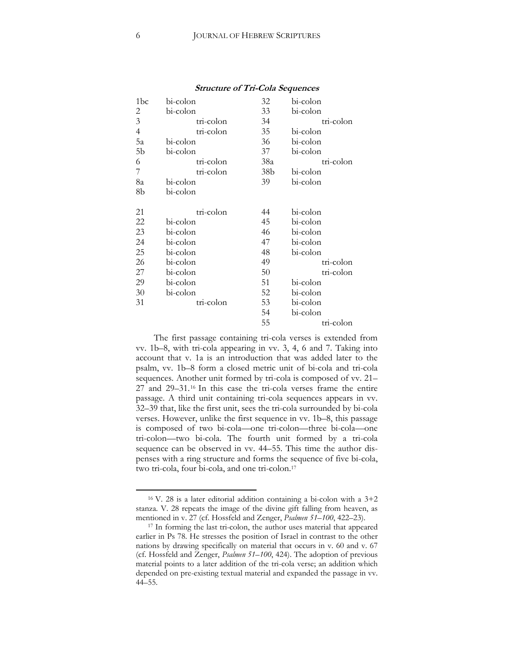| 1bc            | bi-colon  | 32              | bi-colon  |
|----------------|-----------|-----------------|-----------|
| 2              | bi-colon  | 33              | bi-colon  |
| 3              | tri-colon | 34              | tri-colon |
| $\overline{4}$ | tri-colon | 35              | bi-colon  |
| 5a             | bi-colon  | 36              | bi-colon  |
| 5 <sub>b</sub> | bi-colon  | 37              | bi-colon  |
| 6              | tri-colon | 38a             | tri-colon |
| 7              | tri-colon | 38 <sub>b</sub> | bi-colon  |
| 8a             | bi-colon  | 39              | bi-colon  |
| 8b             | bi-colon  |                 |           |
|                |           |                 |           |
| 21             | tri-colon | 44              | bi-colon  |
| 22             | bi-colon  | 45              | bi-colon  |
| 23             | bi-colon  | 46              | bi-colon  |
| 24             | bi-colon  | 47              | bi-colon  |
| 25             | bi-colon  | 48              | bi-colon  |
| 26             | bi-colon  | 49              | tri-colon |
| 27             | bi-colon  | 50              | tri-colon |
| 29             | bi-colon  | 51              | bi-colon  |
| 30             | bi-colon  | 52              | bi-colon  |
| 31             | tri-colon | 53              | bi-colon  |
|                |           | 54              | bi-colon  |
|                |           | 55              | tri-colon |

#### **Structure of Tri-Cola Sequences**

The first passage containing tri-cola verses is extended from vv. 1b–8, with tri-cola appearing in vv. 3, 4, 6 and 7. Taking into account that v. 1a is an introduction that was added later to the psalm, vv. 1b–8 form a closed metric unit of bi-cola and tri-cola sequences. Another unit formed by tri-cola is composed of vv. 21– 27 and 29–31.<sup>16</sup> In this case the tri-cola verses frame the entire passage. A third unit containing tri-cola sequences appears in vv. 32–39 that, like the first unit, sees the tri-cola surrounded by bi-cola verses. However, unlike the first sequence in vv. 1b–8, this passage is composed of two bi-cola—one tri-colon—three bi-cola—one tri-colon—two bi-cola. The fourth unit formed by a tri-cola sequence can be observed in vv. 44–55. This time the author dispenses with a ring structure and forms the sequence of five bi-cola, two tri-cola, four bi-cola, and one tri-colon.<sup>17</sup>

<sup>&</sup>lt;sup>16</sup> V. 28 is a later editorial addition containing a bi-colon with a  $3+2$ stanza. V. 28 repeats the image of the divine gift falling from heaven, as mentioned in v. 27 (cf. Hossfeld and Zenger, *Psalmen 51–100*, 422–23).

<sup>&</sup>lt;sup>17</sup> In forming the last tri-colon, the author uses material that appeared earlier in Ps 78. He stresses the position of Israel in contrast to the other nations by drawing specifically on material that occurs in v. 60 and v. 67 (cf. Hossfeld and Zenger, *Psalmen 51–100*, 424). The adoption of previous material points to a later addition of the tri-cola verse; an addition which depended on pre-existing textual material and expanded the passage in vv. 44–55.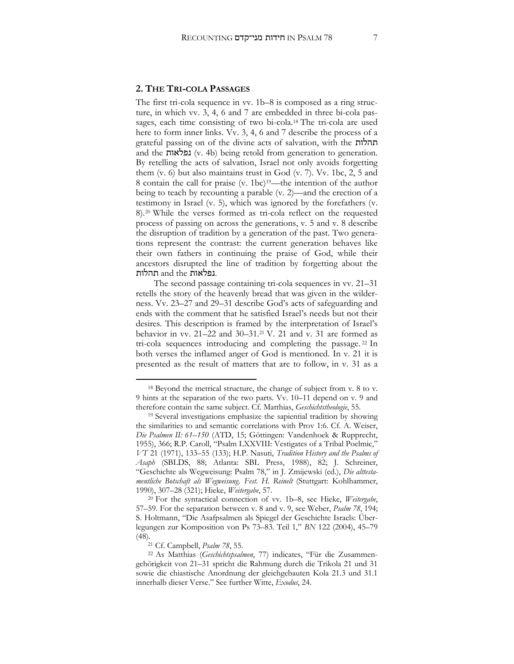#### **2. THE TRI-COLA PASSAGES**

The first tri-cola sequence in vv. 1b–8 is composed as a ring structure, in which vv. 3, 4, 6 and 7 are embedded in three bi-cola passages, each time consisting of two bi-cola.<sup>18</sup> The tri-cola are used here to form inner links. Vv. 3, 4, 6 and 7 describe the process of a grateful passing on of the divine acts of salvation, with the תהלות and the נפלאות) v. 4b) being retold from generation to generation. By retelling the acts of salvation, Israel not only avoids forgetting them (v. 6) but also maintains trust in God (v. 7). Vv. 1bc, 2, 5 and 8 contain the call for praise (v. 1bc)19—the intention of the author being to teach by recounting a parable (v. 2)—and the erection of a testimony in Israel (v. 5), which was ignored by the forefathers (v. 8).<sup>20</sup> While the verses formed as tri-cola reflect on the requested process of passing on across the generations, v. 5 and v. 8 describe the disruption of tradition by a generation of the past. Two generations represent the contrast: the current generation behaves like their own fathers in continuing the praise of God, while their ancestors disrupted the line of tradition by forgetting about the .נפלאות and the תהלות

The second passage containing tri-cola sequences in vv. 21–31 retells the story of the heavenly bread that was given in the wilderness. Vv. 23–27 and 29–31 describe God's acts of safeguarding and ends with the comment that he satisfied Israel's needs but not their desires. This description is framed by the interpretation of Israel's behavior in vv. 21–22 and 30–31.<sup>21</sup> V. 21 and v. 31 are formed as tri-cola sequences introducing and completing the passage. <sup>22</sup> In both verses the inflamed anger of God is mentioned. In v. 21 it is presented as the result of matters that are to follow, in v. 31 as a

<sup>20</sup> For the syntactical connection of vv. 1b–8, see Hieke, *Weitergabe*, 57–59. For the separation between v. 8 and v. 9, see Weber, *Psalm 78*, 194; S. Holtmann, "Die Asafpsalmen als Spiegel der Geschichte Israels: Überlegungen zur Komposition von Ps 73–83. Teil 1," *BN* 122 (2004), 45–79 (48).

<sup>21</sup> Cf. Campbell, *Psalm 78*, 55.

<sup>18</sup> Beyond the metrical structure, the change of subject from v. 8 to v. 9 hints at the separation of the two parts. Vv. 10–11 depend on v. 9 and therefore contain the same subject. Cf. Matthias, *Geschichtstheologie*, 55.

<sup>19</sup> Several investigations emphasize the sapiential tradition by showing the similarities to and semantic correlations with Prov 1:6. Cf. A. Weiser, *Die Psalmen II: 61–150* (ATD, 15; Göttingen: Vandenhoek & Rupprecht, 1955), 366; R.P. Caroll, "Psalm LXXVIII: Vestigates of a Tribal Poelmic," *VT* 21 (1971), 133–55 (133); H.P. Nasuti, *Tradition History and the Psalms of Asaph* (SBLDS, 88; Atlanta: SBL Press, 1988), 82; J. Schreiner, "Geschichte als Wegweisung: Psalm 78," in J. Zmijewski (ed.), *Die alttestamentliche Botschaft als Wegweisung*. *Fest. H. Reinelt* (Stuttgart: Kohlhammer, 1990), 307–28 (321); Hieke, *Weitergabe*, 57.

<sup>22</sup> As Matthias (*Geschichtspsalmen*, 77) indicates, "Für die Zusammengehörigkeit von 21–31 spricht die Rahmung durch die Trikola 21 und 31 sowie die chiastische Anordnung der gleichgebauten Kola 21.3 und 31.1 innerhalb dieser Verse." See further Witte, *Exodus*, 24.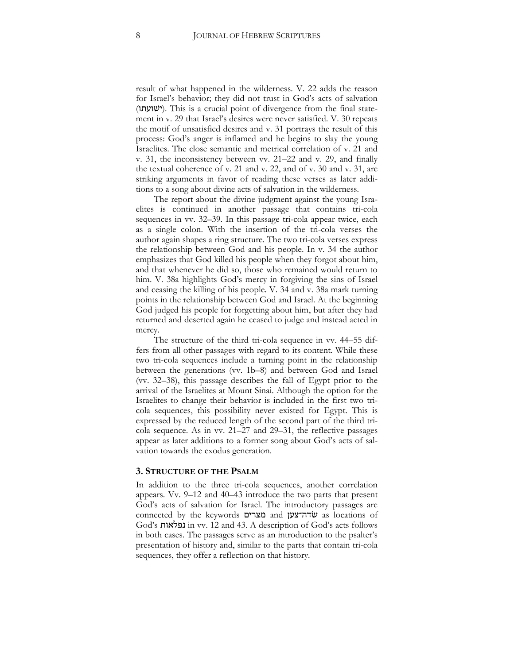result of what happened in the wilderness. V. 22 adds the reason for Israel's behavior; they did not trust in God's acts of salvation (ישועתו). This is a crucial point of divergence from the final statement in v. 29 that Israel's desires were never satisfied. V. 30 repeats the motif of unsatisfied desires and v. 31 portrays the result of this process: God's anger is inflamed and he begins to slay the young Israelites. The close semantic and metrical correlation of v. 21 and v. 31, the inconsistency between vv. 21–22 and v. 29, and finally the textual coherence of v. 21 and v. 22, and of v. 30 and v. 31, are striking arguments in favor of reading these verses as later additions to a song about divine acts of salvation in the wilderness.

The report about the divine judgment against the young Israelites is continued in another passage that contains tri-cola sequences in vv. 32–39. In this passage tri-cola appear twice, each as a single colon. With the insertion of the tri-cola verses the author again shapes a ring structure. The two tri-cola verses express the relationship between God and his people. In v. 34 the author emphasizes that God killed his people when they forgot about him, and that whenever he did so, those who remained would return to him. V. 38a highlights God's mercy in forgiving the sins of Israel and ceasing the killing of his people. V. 34 and v. 38a mark turning points in the relationship between God and Israel. At the beginning God judged his people for forgetting about him, but after they had returned and deserted again he ceased to judge and instead acted in mercy.

The structure of the third tri-cola sequence in vv. 44–55 differs from all other passages with regard to its content. While these two tri-cola sequences include a turning point in the relationship between the generations (vv. 1b–8) and between God and Israel (vv. 32–38), this passage describes the fall of Egypt prior to the arrival of the Israelites at Mount Sinai. Although the option for the Israelites to change their behavior is included in the first two tricola sequences, this possibility never existed for Egypt. This is expressed by the reduced length of the second part of the third tricola sequence. As in vv. 21–27 and 29–31, the reflective passages appear as later additions to a former song about God's acts of salvation towards the exodus generation.

#### **3. STRUCTURE OF THE PSALM**

In addition to the three tri-cola sequences, another correlation appears. Vv. 9–12 and 40–43 introduce the two parts that present God's acts of salvation for Israel. The introductory passages are connected by the keywords מצרים and ־צען שדהׂ as locations of God's נפלאות in vv. 12 and 43. A description of God's acts follows in both cases. The passages serve as an introduction to the psalter's presentation of history and, similar to the parts that contain tri-cola sequences, they offer a reflection on that history.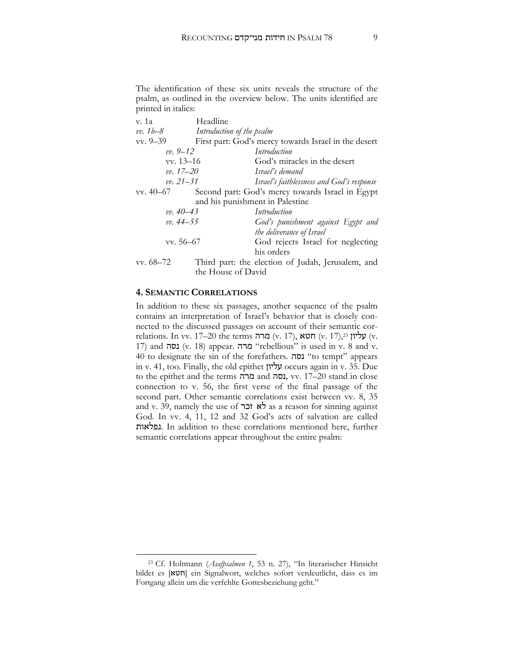The identification of these six units reveals the structure of the psalm, as outlined in the overview below. The units identified are printed in italics:

| v. 1a                           | Headline                  |                                                      |  |  |
|---------------------------------|---------------------------|------------------------------------------------------|--|--|
| $vv. 1b - 8$                    | Introduction of the psalm |                                                      |  |  |
| $vv. 9-39$                      |                           | First part: God's mercy towards Israel in the desert |  |  |
| $vv. 9 - 12$                    |                           | Introduction                                         |  |  |
| $vv. 13-16$                     |                           | God's miracles in the desert                         |  |  |
| $vv. 17 - 20$                   |                           | Israel's demand                                      |  |  |
| $vv. 21 - 31$                   |                           | Israel's faithlessness and God's response            |  |  |
| $vv. 40-67$                     |                           | Second part: God's mercy towards Israel in Egypt     |  |  |
| and his punishment in Palestine |                           |                                                      |  |  |
| $vv. 40 - 43$                   |                           | Introduction                                         |  |  |
| vv. 44–55                       |                           | God's punishment against Egypt and                   |  |  |
|                                 |                           | the deliverance of Israel                            |  |  |
| vv. 56–67                       |                           | God rejects Israel for neglecting                    |  |  |
|                                 |                           | his orders                                           |  |  |
| $vv. 68-72$                     |                           | Third part: the election of Judah, Jerusalem, and    |  |  |
|                                 | the House of David        |                                                      |  |  |
|                                 |                           |                                                      |  |  |

#### **4. SEMANTIC CORRELATIONS**

 $\overline{a}$ 

In addition to these six passages, another sequence of the psalm contains an interpretation of Israel's behavior that is closely connected to the discussed passages on account of their semantic correlations. In vv. 17–20 the terms מרה), אליון (v. 17), עליון  $(v. 17)$ 17) and נסה) v. 18) appear. מרה" rebellious" is used in v. 8 and v. 40 to designate the sin of the forefathers. נסה" to tempt" appears in v. 41, too. Finally, the old epithet עליון occurs again in v. 35. Due to the epithet and the terms מרה and נסה, vv. 17–20 stand in close connection to v. 56, the first verse of the final passage of the second part. Other semantic correlations exist between vv. 8, 35 and v. 39, namely the use of *לא* זכר as a reason for sinning against God. In vv. 4, 11, 12 and 32 God's acts of salvation are called נפלאות. In addition to these correlations mentioned here, further semantic correlations appear throughout the entire psalm:

<sup>23</sup> Cf. Holtmann (*Asafpsalmen 1*, 53 n. 27), "In literarischer Hinsicht bildet es [חטא] ein Signalwort, welches sofort verdeutlicht, dass es im Fortgang allein um die verfehlte Gottesbeziehung geht."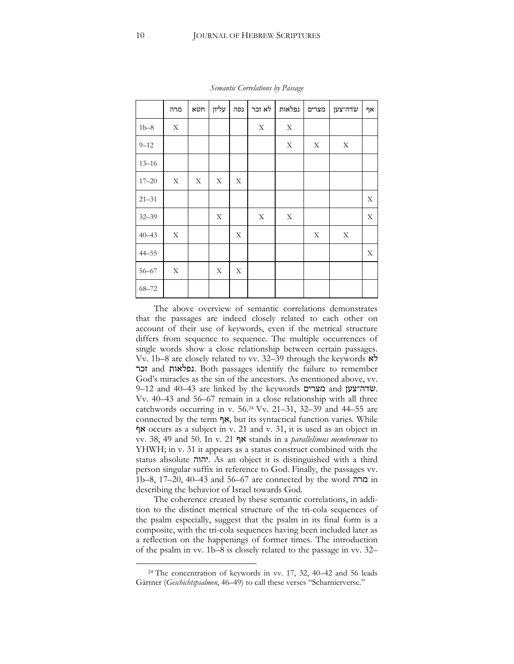|           | מרה | חטא | עליון | נסה | לא זכר | נפלאות | מצרים | שׂדה־צען | ካ× |
|-----------|-----|-----|-------|-----|--------|--------|-------|----------|----|
| $1b-8$    | X   |     |       |     | X      | X      |       |          |    |
| $9 - 12$  |     |     |       |     |        | X      | X     | X        |    |
| $13 - 16$ |     |     |       |     |        |        |       |          |    |
| $17 - 20$ | X   | Χ   | Х     | X   |        |        |       |          |    |
| $21 - 31$ |     |     |       |     |        |        |       |          | X  |
| $32 - 39$ |     |     | X     |     | X      | X      |       |          | X  |
| $40 - 43$ | X   |     |       | Χ   |        |        | Χ     | X        |    |
| $44 - 55$ |     |     |       |     |        |        |       |          | X  |
| $56 - 67$ | X   |     | X     | X   |        |        |       |          |    |
| $68 - 72$ |     |     |       |     |        |        |       |          |    |

*Semantic Correlations by Passage*

The above overview of semantic correlations demonstrates that the passages are indeed closely related to each other on account of their use of keywords, even if the metrical structure differs from sequence to sequence. The multiple occurrences of single words show a close relationship between certain passages. Vv. 1b–8 are closely related to vv. 32–39 through the keywords לא זכר and נפלאות. Both passages identify the failure to remember God's miracles as the sin of the ancestors. As mentioned above, vv. 9–12 and 40–43 are linked by the keywords מצרים and שדה־צעןׂ. Vv. 40–43 and 56–67 remain in a close relationship with all three catchwords occurring in v. 56.<sup>24</sup> Vv. 21–31, 32–39 and 44–55 are connected by the term אף, but its syntactical function varies. While אף occurs as a subject in v. 21 and v. 31, it is used as an object in vv. 38, 49 and 50. In v. 21 אף stands in a *parallelimus membrorum* to YHWH; in v. 31 it appears as a status construct combined with the status absolute יהוה. As an object it is distinguished with a third person singular suffix in reference to God. Finally, the passages vv. 1b–8, 17–20, 40–43 and 56–67 are connected by the word מרה in describing the behavior of Israel towards God.

The coherence created by these semantic correlations, in addition to the distinct metrical structure of the tri-cola sequences of the psalm especially, suggest that the psalm in its final form is a composite, with the tri-cola sequences having been included later as a reflection on the happenings of former times. The introduction of the psalm in vv. 1b–8 is closely related to the passage in vv. 32–

<sup>24</sup> The concentration of keywords in vv. 17, 32, 40*–*42 and 56 leads Gärtner (*Geschichtspsalmen*, 46–49) to call these verses "Scharnierverse."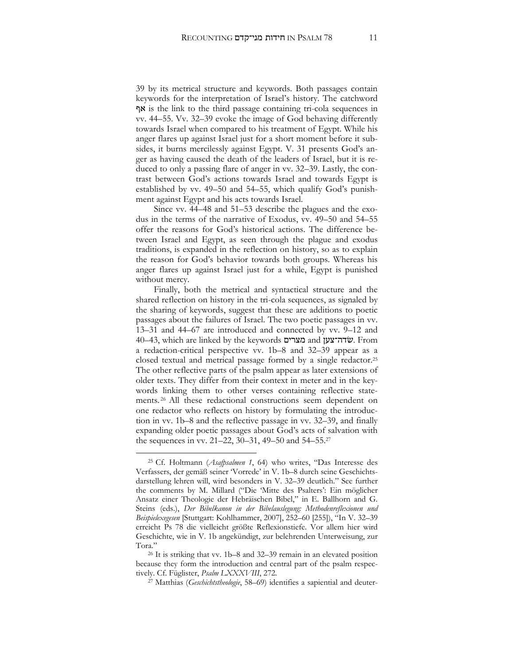39 by its metrical structure and keywords. Both passages contain keywords for the interpretation of Israel's history. The catchword אף is the link to the third passage containing tri-cola sequences in vv. 44–55. Vv. 32–39 evoke the image of God behaving differently towards Israel when compared to his treatment of Egypt. While his anger flares up against Israel just for a short moment before it subsides, it burns mercilessly against Egypt. V. 31 presents God's anger as having caused the death of the leaders of Israel, but it is reduced to only a passing flare of anger in vv. 32–39. Lastly, the contrast between God's actions towards Israel and towards Egypt is established by vv. 49–50 and 54–55, which qualify God's punishment against Egypt and his acts towards Israel.

Since vv. 44–48 and 51–53 describe the plagues and the exodus in the terms of the narrative of Exodus, vv. 49–50 and 54–55 offer the reasons for God's historical actions. The difference between Israel and Egypt, as seen through the plague and exodus traditions, is expanded in the reflection on history, so as to explain the reason for God's behavior towards both groups. Whereas his anger flares up against Israel just for a while, Egypt is punished without mercy.

Finally, both the metrical and syntactical structure and the shared reflection on history in the tri-cola sequences, as signaled by the sharing of keywords, suggest that these are additions to poetic passages about the failures of Israel. The two poetic passages in vv. 13–31 and 44–67 are introduced and connected by vv. 9–12 and 40–43, which are linked by the keywords מצרים and שדה־צעןׂ. From a redaction-critical perspective vv. 1b–8 and 32–39 appear as a closed textual and metrical passage formed by a single redactor.<sup>25</sup> The other reflective parts of the psalm appear as later extensions of older texts. They differ from their context in meter and in the keywords linking them to other verses containing reflective statements. <sup>26</sup> All these redactional constructions seem dependent on one redactor who reflects on history by formulating the introduction in vv. 1b–8 and the reflective passage in vv. 32–39, and finally expanding older poetic passages about God's acts of salvation with the sequences in vv. 21–22, 30–31, 49–50 and 54–55.<sup>27</sup>

<sup>25</sup> Cf. Holtmann (*Asafpsalmen 1*, 64) who writes, "Das Interesse des Verfassers, der gemäß seiner 'Vorrede' in V. 1b–8 durch seine Geschichtsdarstellung lehren will, wird besonders in V. 32–39 deutlich." See further the comments by M. Millard ("Die 'Mitte des Psalters': Ein möglicher Ansatz einer Theologie der Hebräischen Bibel," in E. Ballhorn and G. Steins (eds.), *Der Bibelkanon in der Bibelauslegung: Methodenreflexionen und Beispielexegesen* [Stuttgart: Kohlhammer, 2007], 252–60 [255]), "In V. 32–39 erreicht Ps 78 die vielleicht größte Reflexionstiefe. Vor allem hier wird Geschichte, wie in V. 1b angekündigt, zur belehrenden Unterweisung, zur Tora."

<sup>26</sup> It is striking that vv. 1b–8 and 32–39 remain in an elevated position because they form the introduction and central part of the psalm respectively. Cf. Füglister, *Psalm LXXXVIII*, 272.

<sup>27</sup> Matthias (*Geschichtstheologie*, 58–69) identifies a sapiential and deuter-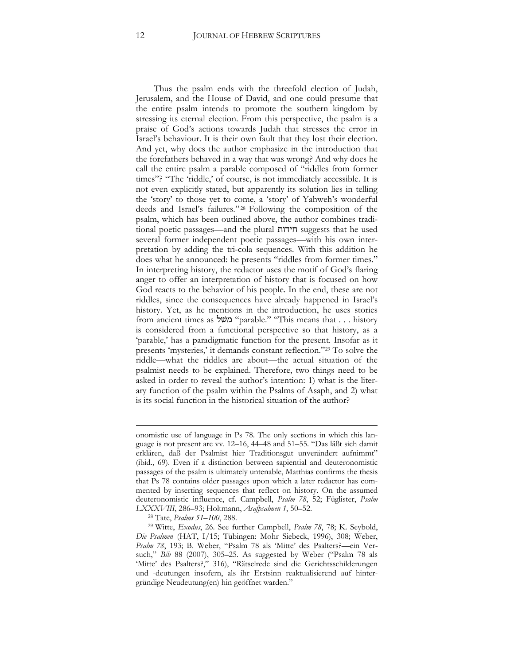Thus the psalm ends with the threefold election of Judah, Jerusalem, and the House of David, and one could presume that the entire psalm intends to promote the southern kingdom by stressing its eternal election. From this perspective, the psalm is a praise of God's actions towards Judah that stresses the error in Israel's behaviour. It is their own fault that they lost their election. And yet, why does the author emphasize in the introduction that the forefathers behaved in a way that was wrong? And why does he call the entire psalm a parable composed of "riddles from former times"? "The 'riddle,' of course, is not immediately accessible. It is not even explicitly stated, but apparently its solution lies in telling the 'story' to those yet to come, a 'story' of Yahweh's wonderful deeds and Israel's failures." <sup>28</sup> Following the composition of the psalm, which has been outlined above, the author combines traditional poetic passages—and the plural חידות suggests that he used several former independent poetic passages—with his own interpretation by adding the tri-cola sequences. With this addition he does what he announced: he presents "riddles from former times." In interpreting history, the redactor uses the motif of God's flaring anger to offer an interpretation of history that is focused on how God reacts to the behavior of his people. In the end, these are not riddles, since the consequences have already happened in Israel's history. Yet, as he mentions in the introduction, he uses stories from ancient times as משׁל" parable." "This means that . . . history is considered from a functional perspective so that history, as a 'parable,' has a paradigmatic function for the present. Insofar as it presents 'mysteries,' it demands constant reflection."<sup>29</sup> To solve the riddle—what the riddles are about—the actual situation of the psalmist needs to be explained. Therefore, two things need to be asked in order to reveal the author's intention: 1) what is the literary function of the psalm within the Psalms of Asaph, and 2) what is its social function in the historical situation of the author?

<sup>28</sup> Tate, *Psalms 51–100*, 288.

1

onomistic use of language in Ps 78. The only sections in which this language is not present are vv. 12–16, 44–48 and 51–55. "Das läßt sich damit erklären, daß der Psalmist hier Traditionsgut unverändert aufnimmt" (ibid., 69). Even if a distinction between sapiential and deuteronomistic passages of the psalm is ultimately untenable, Matthias confirms the thesis that Ps 78 contains older passages upon which a later redactor has commented by inserting sequences that reflect on history. On the assumed deuteronomistic influence, cf. Campbell, *Psalm 78*, 52; Füglister, *Psalm LXXXVIII*, 286–93; Holtmann, *Asafpsalmen 1*, 50–52.

<sup>29</sup> Witte, *Exodus*, 26. See further Campbell, *Psalm 78*, 78; K. Seybold, *Die Psalmen* (HAT, I/15; Tübingen: Mohr Siebeck, 1996), 308; Weber, *Psalm 78*, 193; B. Weber, "Psalm 78 als 'Mitte' des Psalters?—ein Versuch," *Bib* 88 (2007), 305–25. As suggested by Weber ("Psalm 78 als 'Mitte' des Psalters?," 316), "Rätselrede sind die Gerichtsschilderungen und -deutungen insofern, als ihr Erstsinn reaktualisierend auf hintergründige Neudeutung(en) hin geöffnet warden."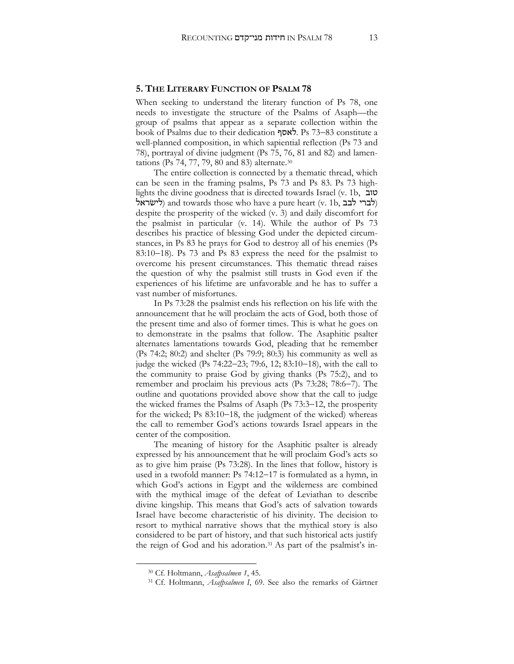#### **5. THE LITERARY FUNCTION OF PSALM 78**

When seeking to understand the literary function of Ps 78, one needs to investigate the structure of the Psalms of Asaph—the group of psalms that appear as a separate collection within the book of Psalms due to their dedication לאסף. Ps 73–83 constitute a well-planned composition, in which sapiential reflection (Ps 73 and 78), portrayal of divine judgment (Ps 75, 76, 81 and 82) and lamentations (Ps 74, 77, 79, 80 and 83) alternate.<sup>30</sup>

The entire collection is connected by a thematic thread, which can be seen in the framing psalms, Ps 73 and Ps 83. Ps 73 highlights the divine goodness that is directed towards Israel (v. 1b, טוב לישראל) and towards those who have a pure heart (v. 1b, לברי לבב ) despite the prosperity of the wicked (v. 3) and daily discomfort for the psalmist in particular (v. 14). While the author of Ps 73 describes his practice of blessing God under the depicted circumstances, in Ps 83 he prays for God to destroy all of his enemies (Ps 83:10-18). Ps 73 and Ps 83 express the need for the psalmist to overcome his present circumstances. This thematic thread raises the question of why the psalmist still trusts in God even if the experiences of his lifetime are unfavorable and he has to suffer a vast number of misfortunes.

In Ps 73:28 the psalmist ends his reflection on his life with the announcement that he will proclaim the acts of God, both those of the present time and also of former times. This is what he goes on to demonstrate in the psalms that follow. The Asaphitic psalter alternates lamentations towards God, pleading that he remember (Ps 74:2; 80:2) and shelter (Ps 79:9; 80:3) his community as well as judge the wicked (Ps  $74:22-23$ ;  $79:6$ ,  $12$ ;  $83:10-18$ ), with the call to the community to praise God by giving thanks (Ps 75:2), and to remember and proclaim his previous acts (Ps 73:28; 78:6-7). The outline and quotations provided above show that the call to judge the wicked frames the Psalms of Asaph (Ps  $73:3-12$ , the prosperity for the wicked; Ps  $83:10-18$ , the judgment of the wicked) whereas the call to remember God's actions towards Israel appears in the center of the composition.

The meaning of history for the Asaphitic psalter is already expressed by his announcement that he will proclaim God's acts so as to give him praise (Ps 73:28). In the lines that follow, history is used in a twofold manner:  $Ps 74:12-17$  is formulated as a hymn, in which God's actions in Egypt and the wilderness are combined with the mythical image of the defeat of Leviathan to describe divine kingship. This means that God's acts of salvation towards Israel have become characteristic of his divinity. The decision to resort to mythical narrative shows that the mythical story is also considered to be part of history, and that such historical acts justify the reign of God and his adoration. <sup>31</sup> As part of the psalmist's in-

 $\ddot{\phantom{a}}$ 

<sup>30</sup> Cf. Holtmann, *Asafpsalmen 1*, 45.

<sup>31</sup> Cf. Holtmann, *Asafpsalmen I*, 69. See also the remarks of Gärtner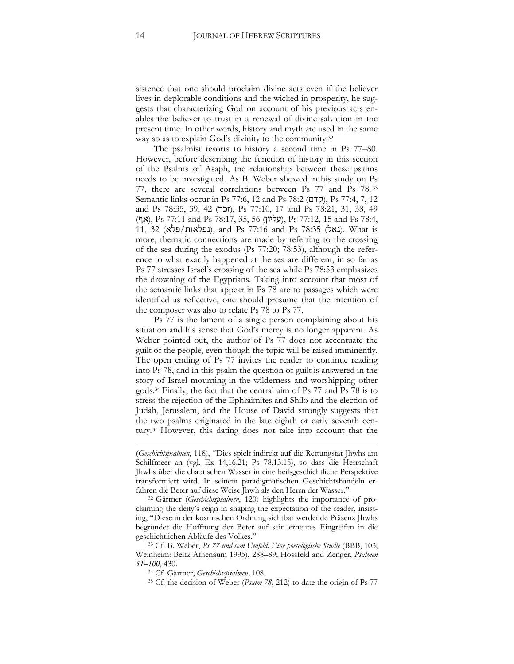sistence that one should proclaim divine acts even if the believer lives in deplorable conditions and the wicked in prosperity, he suggests that characterizing God on account of his previous acts enables the believer to trust in a renewal of divine salvation in the present time. In other words, history and myth are used in the same way so as to explain God's divinity to the community.<sup>32</sup>

The psalmist resorts to history a second time in Ps 77–80. However, before describing the function of history in this section of the Psalms of Asaph, the relationship between these psalms needs to be investigated. As B. Weber showed in his study on Ps 77, there are several correlations between Ps 77 and Ps 78. <sup>33</sup> Semantic links occur in Ps 77:6, 12 and Ps 78:2 (קדם), Ps 77:4, 7, 12 and Ps 78:35, 39, 42 (זכר), Ps 77:10, 17 and Ps 78:21, 31, 38, 49 (אף(, Ps 77:11 and Ps 78:17, 35, 56 (עליון(, Ps 77:12, 15 and Ps 78:4, 11, 32 (גאל), and Ps 77:16 and Ps 78:35 (גאל). What is more, thematic connections are made by referring to the crossing of the sea during the exodus (Ps 77:20; 78:53), although the reference to what exactly happened at the sea are different, in so far as Ps 77 stresses Israel's crossing of the sea while Ps 78:53 emphasizes the drowning of the Egyptians. Taking into account that most of the semantic links that appear in Ps 78 are to passages which were identified as reflective, one should presume that the intention of the composer was also to relate Ps 78 to Ps 77.

Ps 77 is the lament of a single person complaining about his situation and his sense that God's mercy is no longer apparent. As Weber pointed out, the author of Ps 77 does not accentuate the guilt of the people, even though the topic will be raised imminently. The open ending of Ps 77 invites the reader to continue reading into Ps 78, and in this psalm the question of guilt is answered in the story of Israel mourning in the wilderness and worshipping other gods.<sup>34</sup> Finally, the fact that the central aim of Ps 77 and Ps 78 is to stress the rejection of the Ephraimites and Shilo and the election of Judah, Jerusalem, and the House of David strongly suggests that the two psalms originated in the late eighth or early seventh century.<sup>35</sup> However, this dating does not take into account that the

- <sup>34</sup> Cf. Gärtner, *Geschichtspsalmen*, 108.
- <sup>35</sup> Cf. the decision of Weber (*Psalm 78*, 212) to date the origin of Ps 77

**.** 

<sup>(</sup>*Geschichtspsalmen*, 118), "Dies spielt indirekt auf die Rettungstat Jhwhs am Schilfmeer an (vgl. Ex 14,16.21; Ps 78,13.15), so dass die Herrschaft Jhwhs über die chaotischen Wasser in eine heilsgeschichtliche Perspektive transformiert wird. In seinem paradigmatischen Geschichtshandeln erfahren die Beter auf diese Weise Jhwh als den Herrn der Wasser."

<sup>32</sup> Gärtner (*Geschichtspsalmen*, 120) highlights the importance of proclaiming the deity's reign in shaping the expectation of the reader, insisting, "Diese in der kosmischen Ordnung sichtbar werdende Präsenz Jhwhs begründet die Hoffnung der Beter auf sein erneutes Eingreifen in die geschichtlichen Abläufe des Volkes."

<sup>33</sup> Cf. B. Weber, *Ps 77 und sein Umfeld: Eine poetologische Studie* (BBB, 103; Weinheim: Beltz Athenäum 1995), 288–89; Hossfeld and Zenger, *Psalmen 51–100*, 430.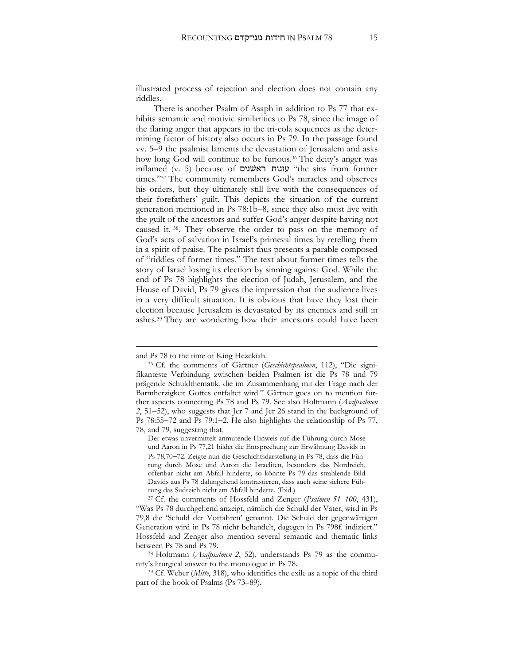illustrated process of rejection and election does not contain any riddles.

There is another Psalm of Asaph in addition to Ps 77 that exhibits semantic and motivic similarities to Ps 78, since the image of the flaring anger that appears in the tri-cola sequences as the determining factor of history also occurs in Ps 79. In the passage found vv. 5–9 the psalmist laments the devastation of Jerusalem and asks how long God will continue to be furious.<sup>36</sup> The deity's anger was inflamed (v. 5) because of ראשׁנים עונות" the sins from former times." <sup>37</sup> The community remembers God's miracles and observes his orders, but they ultimately still live with the consequences of their forefathers' guilt. This depicts the situation of the current generation mentioned in Ps 78:1b–8, since they also must live with the guilt of the ancestors and suffer God's anger despite having not caused it. 38. They observe the order to pass on the memory of God's acts of salvation in Israel's primeval times by retelling them in a spirit of praise. The psalmist thus presents a parable composed of "riddles of former times." The text about former times tells the story of Israel losing its election by sinning against God. While the end of Ps 78 highlights the election of Judah, Jerusalem, and the House of David, Ps 79 gives the impression that the audience lives in a very difficult situation. It is obvious that have they lost their election because Jerusalem is devastated by its enemies and still in ashes.<sup>39</sup> They are wondering how their ancestors could have been

**.** 

and Ps 78 to the time of King Hezekiah.

<sup>36</sup> Cf. the comments of Gärtner (*Geschichtspsalmen*, 112), "Die signifikanteste Verbindung zwischen beiden Psalmen ist die Ps 78 und 79 prägende Schuldthematik, die im Zusammenhang mit der Frage nach der Barmherzigkeit Gottes entfaltet wird." Gärtner goes on to mention further aspects connecting Ps 78 and Ps 79. See also Holtmann (*Asafpsalmen*  2, 51–52), who suggests that Jer 7 and Jer 26 stand in the background of Ps  $78:55-72$  and Ps  $79:1-2$ . He also highlights the relationship of Ps  $77$ , 78, and 79, suggesting that,

Der etwas unvermittelt anmutende Hinweis auf die Führung durch Mose und Aaron in Ps 77,21 bildet die Entsprechung zur Erwähnung Davids in Ps 78,70-72. Zeigte nun die Geschichtsdarstellung in Ps 78, dass die Führung durch Mose und Aaron die Israeliten, besonders das Nordreich, offenbar nicht am Abfall hinderte, so könnte Ps 79 das strahlende Bild Davids aus Ps 78 dahingehend kontrastieren, dass auch seine sichere Führung das Südreich nicht am Abfall hinderte. (Ibid.)

<sup>37</sup> Cf. the comments of Hossfeld and Zenger (*Psalmen 51–100*, 431), "Was Ps 78 durchgehend anzeigt, nämlich die Schuld der Väter, wird in Ps 79,8 die 'Schuld der Vorfahren' genannt. Die Schuld der gegenwärtigen Generation wird in Ps 78 nicht behandelt, dagegen in Ps 798f. indiziert." Hossfeld and Zenger also mention several semantic and thematic links between Ps 78 and Ps 79.

<sup>38</sup> Holtmann (*Asafpsalmen 2*, 52), understands Ps 79 as the community's liturgical answer to the monologue in Ps 78.

<sup>39</sup> Cf. Weber (*Mitte*, 318), who identifies the exile as a topic of the third part of the book of Psalms (Ps 73–89).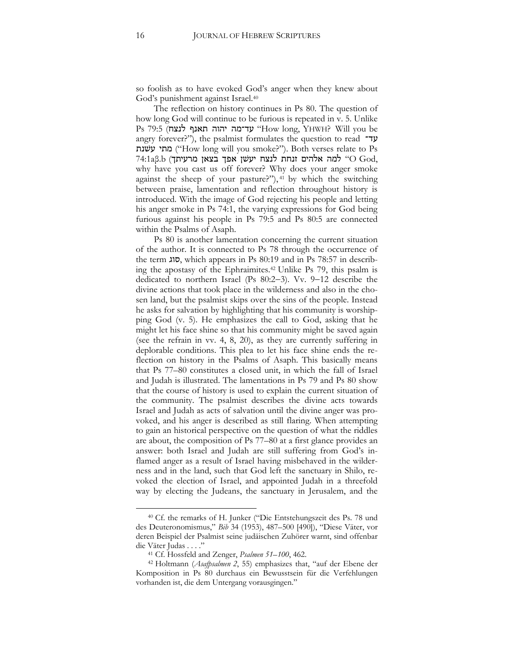so foolish as to have evoked God's anger when they knew about God's punishment against Israel.<sup>40</sup>

The reflection on history continues in Ps 80. The question of how long God will continue to be furious is repeated in v. 5. Unlike Ps 79:5 (לנצח תאנף יהוה עד־מה" How long, YHWH? Will you be angry forever?"), the psalmist formulates the question to read עד־ מתי עשנת ("How long will you smoke?"). Both verses relate to Ps  $74:1a\beta$ .b (למה אלהים זנחת לנצח יעשן אפך בצאן מרעיתך)  $\rm{God,}$ why have you cast us off forever? Why does your anger smoke against the sheep of your pasture?"), <sup>41</sup> by which the switching between praise, lamentation and reflection throughout history is introduced. With the image of God rejecting his people and letting his anger smoke in Ps 74:1, the varying expressions for God being furious against his people in Ps 79:5 and Ps 80:5 are connected within the Psalms of Asaph.

Ps 80 is another lamentation concerning the current situation of the author. It is connected to Ps 78 through the occurrence of the term סוג, which appears in Ps 80:19 and in Ps 78:57 in describing the apostasy of the Ephraimites.<sup>42</sup> Unlike Ps 79, this psalm is dedicated to northern Israel (Ps  $80:2-3$ ). Vv.  $9-12$  describe the divine actions that took place in the wilderness and also in the chosen land, but the psalmist skips over the sins of the people. Instead he asks for salvation by highlighting that his community is worshipping God (v. 5). He emphasizes the call to God, asking that he might let his face shine so that his community might be saved again (see the refrain in vv. 4, 8, 20), as they are currently suffering in deplorable conditions. This plea to let his face shine ends the reflection on history in the Psalms of Asaph. This basically means that Ps 77–80 constitutes a closed unit, in which the fall of Israel and Judah is illustrated. The lamentations in Ps 79 and Ps 80 show that the course of history is used to explain the current situation of the community. The psalmist describes the divine acts towards Israel and Judah as acts of salvation until the divine anger was provoked, and his anger is described as still flaring. When attempting to gain an historical perspective on the question of what the riddles are about, the composition of Ps 77–80 at a first glance provides an answer: both Israel and Judah are still suffering from God's inflamed anger as a result of Israel having misbehaved in the wilderness and in the land, such that God left the sanctuary in Shilo, revoked the election of Israel, and appointed Judah in a threefold way by electing the Judeans, the sanctuary in Jerusalem, and the

 $\ddot{\phantom{a}}$ 

<sup>40</sup> Cf. the remarks of H. Junker ("Die Entstehungszeit des Ps. 78 und des Deuteronomismus," *Bib* 34 (1953), 487–500 [490]), "Diese Väter, vor deren Beispiel der Psalmist seine judäischen Zuhörer warnt, sind offenbar die Väter Judas . . . ."

<sup>41</sup> Cf. Hossfeld and Zenger, *Psalmen 51–100*, 462.

<sup>42</sup> Holtmann (*Asafpsalmen 2*, 55) emphasizes that, "auf der Ebene der Komposition in Ps 80 durchaus ein Bewusstsein für die Verfehlungen vorhanden ist, die dem Untergang vorausgingen."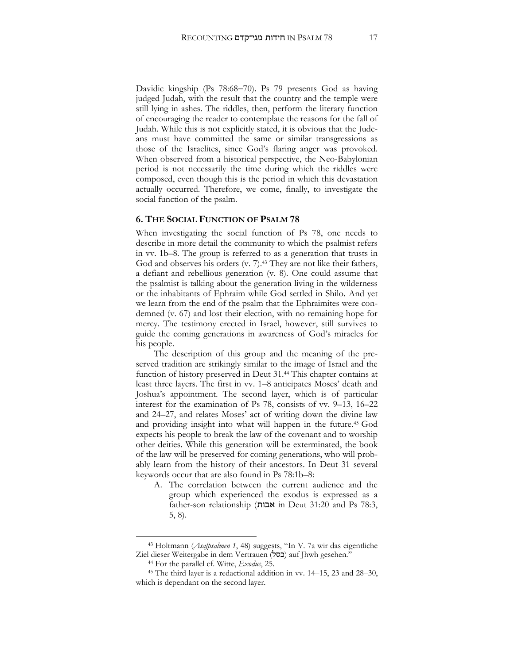Davidic kingship (Ps 78:68-70). Ps 79 presents God as having judged Judah, with the result that the country and the temple were still lying in ashes. The riddles, then, perform the literary function of encouraging the reader to contemplate the reasons for the fall of Judah. While this is not explicitly stated, it is obvious that the Judeans must have committed the same or similar transgressions as those of the Israelites, since God's flaring anger was provoked. When observed from a historical perspective, the Neo-Babylonian period is not necessarily the time during which the riddles were composed, even though this is the period in which this devastation actually occurred. Therefore, we come, finally, to investigate the social function of the psalm.

#### **6. THE SOCIAL FUNCTION OF PSALM 78**

When investigating the social function of Ps 78, one needs to describe in more detail the community to which the psalmist refers in vv. 1b–8. The group is referred to as a generation that trusts in God and observes his orders (v. 7).<sup>43</sup> They are not like their fathers, a defiant and rebellious generation (v. 8). One could assume that the psalmist is talking about the generation living in the wilderness or the inhabitants of Ephraim while God settled in Shilo. And yet we learn from the end of the psalm that the Ephraimites were condemned (v. 67) and lost their election, with no remaining hope for mercy. The testimony erected in Israel, however, still survives to guide the coming generations in awareness of God's miracles for his people.

The description of this group and the meaning of the preserved tradition are strikingly similar to the image of Israel and the function of history preserved in Deut 31.<sup>44</sup> This chapter contains at least three layers. The first in vv. 1–8 anticipates Moses' death and Joshua's appointment. The second layer, which is of particular interest for the examination of Ps 78, consists of vv. 9–13, 16–22 and 24–27, and relates Moses' act of writing down the divine law and providing insight into what will happen in the future. <sup>45</sup> God expects his people to break the law of the covenant and to worship other deities. While this generation will be exterminated, the book of the law will be preserved for coming generations, who will probably learn from the history of their ancestors. In Deut 31 several keywords occur that are also found in Ps 78:1b–8:

A. The correlation between the current audience and the group which experienced the exodus is expressed as a father-son relationship (אבות in Deut 31:20 and Ps 78:3, 5, 8).

 $\ddot{\phantom{a}}$ 

<sup>43</sup> Holtmann (*Asafpsalmen 1*, 48) suggests, "In V. 7a wir das eigentliche Ziel dieser Weitergabe in dem Vertrauen (כסל) auf Jhwh gesehen."

<sup>44</sup> For the parallel cf. Witte, *Exodus*, 25.

<sup>45</sup> The third layer is a redactional addition in vv. 14–15, 23 and 28–30, which is dependant on the second layer.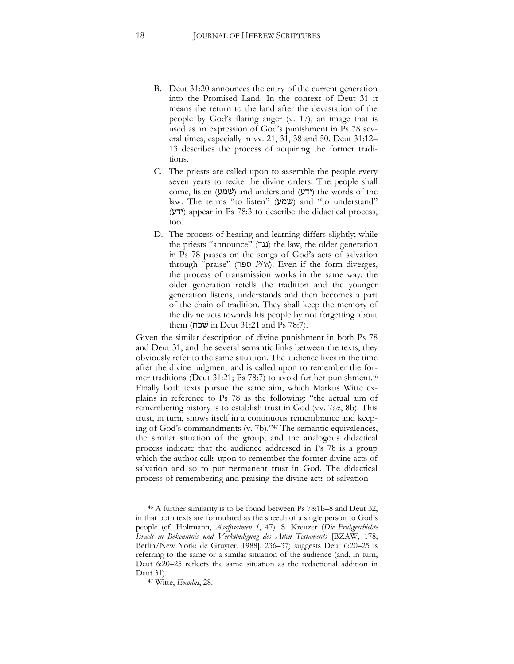- B. Deut 31:20 announces the entry of the current generation into the Promised Land. In the context of Deut 31 it means the return to the land after the devastation of the people by God's flaring anger (v. 17), an image that is used as an expression of God's punishment in Ps 78 several times, especially in vv. 21, 31, 38 and 50. Deut 31:12– 13 describes the process of acquiring the former traditions.
- C. The priests are called upon to assemble the people every seven years to recite the divine orders. The people shall come, listen (שמע) and understand (ידע) the words of the law. The terms "to listen" (שמע) and "to understand"  $(Y|Y)$  appear in Ps 78:3 to describe the didactical process, too.
- D. The process of hearing and learning differs slightly; while the priests "announce" (נגד) the law, the older generation in Ps 78 passes on the songs of God's acts of salvation through "praise" (ספר *Pi*ʿ*el*). Even if the form diverges, the process of transmission works in the same way: the older generation retells the tradition and the younger generation listens, understands and then becomes a part of the chain of tradition. They shall keep the memory of the divine acts towards his people by not forgetting about them (שׁכח in Deut 31:21 and Ps 78:7).

Given the similar description of divine punishment in both Ps 78 and Deut 31, and the several semantic links between the texts, they obviously refer to the same situation. The audience lives in the time after the divine judgment and is called upon to remember the former traditions (Deut 31:21; Ps 78:7) to avoid further punishment. 46 Finally both texts pursue the same aim, which Markus Witte explains in reference to Ps 78 as the following: "the actual aim of remembering history is to establish trust in God (vv. 7aα, 8b). This trust, in turn, shows itself in a continuous remembrance and keeping of God's commandments (v. 7b)." <sup>47</sup> The semantic equivalences, the similar situation of the group, and the analogous didactical process indicate that the audience addressed in Ps 78 is a group which the author calls upon to remember the former divine acts of salvation and so to put permanent trust in God. The didactical process of remembering and praising the divine acts of salvation—

<sup>46</sup> A further similarity is to be found between Ps 78:1b–8 and Deut 32, in that both texts are formulated as the speech of a single person to God's people (cf. Holtmann, *Asafpsalmen 1*, 47). S. Kreuzer (*Die Frühgeschichte Israels in Bekenntnis und Verkündigung des Alten Testaments* [BZAW, 178; Berlin/New York: de Gruyter, 1988], 236–37) suggests Deut 6:20–25 is referring to the same or a similar situation of the audience (and, in turn, Deut 6:20–25 reflects the same situation as the redactional addition in Deut 31).

<sup>47</sup> Witte, *Exodus*, 28.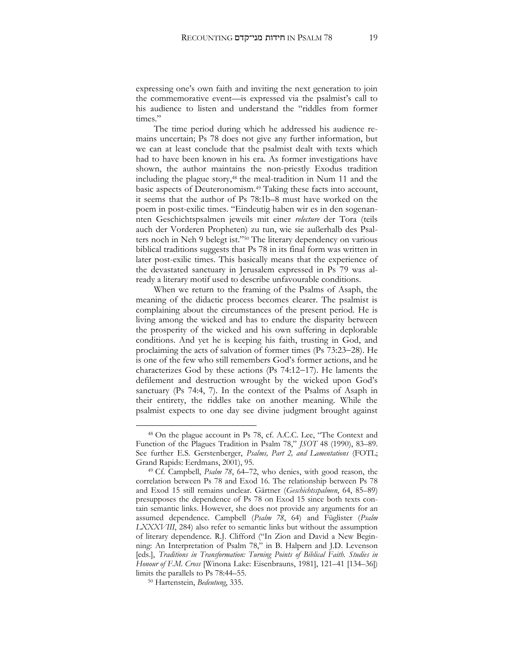expressing one's own faith and inviting the next generation to join the commemorative event—is expressed via the psalmist's call to his audience to listen and understand the "riddles from former times."

The time period during which he addressed his audience remains uncertain; Ps 78 does not give any further information, but we can at least conclude that the psalmist dealt with texts which had to have been known in his era. As former investigations have shown, the author maintains the non-priestly Exodus tradition including the plague story, <sup>48</sup> the meal-tradition in Num 11 and the basic aspects of Deuteronomism.<sup>49</sup> Taking these facts into account, it seems that the author of Ps 78:1b–8 must have worked on the poem in post-exilic times. "Eindeutig haben wir es in den sogenannten Geschichtspsalmen jeweils mit einer *relecture* der Tora (teils auch der Vorderen Propheten) zu tun, wie sie außerhalb des Psalters noch in Neh 9 belegt ist."<sup>50</sup> The literary dependency on various biblical traditions suggests that Ps 78 in its final form was written in later post-exilic times. This basically means that the experience of the devastated sanctuary in Jerusalem expressed in Ps 79 was already a literary motif used to describe unfavourable conditions.

When we return to the framing of the Psalms of Asaph, the meaning of the didactic process becomes clearer. The psalmist is complaining about the circumstances of the present period. He is living among the wicked and has to endure the disparity between the prosperity of the wicked and his own suffering in deplorable conditions. And yet he is keeping his faith, trusting in God, and proclaiming the acts of salvation of former times (Ps 73:23-28). He is one of the few who still remembers God's former actions, and he characterizes God by these actions (Ps  $74:12-17$ ). He laments the defilement and destruction wrought by the wicked upon God's sanctuary (Ps 74:4, 7). In the context of the Psalms of Asaph in their entirety, the riddles take on another meaning. While the psalmist expects to one day see divine judgment brought against

 $\ddot{\phantom{a}}$ 

<sup>48</sup> On the plague account in Ps 78, cf. A.C.C. Lee, "The Context and Function of the Plagues Tradition in Psalm 78," *JSOT* 48 (1990), 83–89. See further E.S. Gerstenberger, *Psalms, Part 2, and Lamentations* (FOTL; Grand Rapids: Eerdmans, 2001), 95.

<sup>49</sup> Cf. Campbell, *Psalm 78*, 64–72, who denies, with good reason, the correlation between Ps 78 and Exod 16. The relationship between Ps 78 and Exod 15 still remains unclear. Gärtner (*Geschichtsspalmen*, 64, 85–89) presupposes the dependence of Ps 78 on Exod 15 since both texts contain semantic links. However, she does not provide any arguments for an assumed dependence. Campbell (*Psalm 78*, 64) and Füglister (*Psalm LXXXVIII*, 284) also refer to semantic links but without the assumption of literary dependence. R.J. Clifford ("In Zion and David a New Beginning: An Interpretation of Psalm 78," in B. Halpern and J.D. Levenson [eds.], *Traditions in Transformation: Turning Points of Biblical Faith. Studies in Honour of F.M. Cross* [Winona Lake: Eisenbrauns, 1981], 121–41 [134–36]) limits the parallels to Ps 78:44–55.

<sup>50</sup> Hartenstein, *Bedeutung*, 335.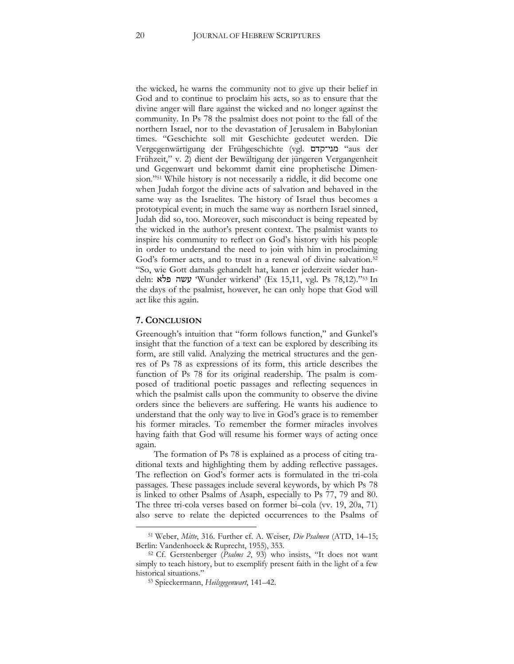the wicked, he warns the community not to give up their belief in God and to continue to proclaim his acts, so as to ensure that the divine anger will flare against the wicked and no longer against the community. In Ps 78 the psalmist does not point to the fall of the northern Israel, nor to the devastation of Jerusalem in Babylonian times. "Geschichte soll mit Geschichte gedeutet werden. Die Vergegenwärtigung der Frühgeschichte (vgl. מני־קדם" aus der Frühzeit," v. 2) dient der Bewältigung der jüngeren Vergangenheit und Gegenwart und bekommt damit eine prophetische Dimension."<sup>51</sup> While history is not necessarily a riddle, it did become one when Judah forgot the divine acts of salvation and behaved in the same way as the Israelites. The history of Israel thus becomes a prototypical event; in much the same way as northern Israel sinned, Judah did so, too. Moreover, such misconduct is being repeated by the wicked in the author's present context. The psalmist wants to inspire his community to reflect on God's history with his people in order to understand the need to join with him in proclaiming God's former acts, and to trust in a renewal of divine salvation.<sup>52</sup> "So, wie Gott damals gehandelt hat, kann er jederzeit wieder handeln: פלא עשה' Wunder wirkend' (Ex 15,11, vgl. Ps 78,12)." <sup>53</sup> In the days of the psalmist, however, he can only hope that God will act like this again.

#### **7. CONCLUSION**

 $\overline{a}$ 

Greenough's intuition that "form follows function," and Gunkel's insight that the function of a text can be explored by describing its form, are still valid. Analyzing the metrical structures and the genres of Ps 78 as expressions of its form, this article describes the function of Ps 78 for its original readership. The psalm is composed of traditional poetic passages and reflecting sequences in which the psalmist calls upon the community to observe the divine orders since the believers are suffering. He wants his audience to understand that the only way to live in God's grace is to remember his former miracles. To remember the former miracles involves having faith that God will resume his former ways of acting once again.

The formation of Ps 78 is explained as a process of citing traditional texts and highlighting them by adding reflective passages. The reflection on God's former acts is formulated in the tri-cola passages. These passages include several keywords, by which Ps 78 is linked to other Psalms of Asaph, especially to Ps 77, 79 and 80. The three tri-cola verses based on former bi–cola (vv. 19, 20a, 71) also serve to relate the depicted occurrences to the Psalms of

<sup>51</sup> Weber, *Mitte*, 316. Further cf. A. Weiser, *Die Psalmen* (ATD, 14–15; Berlin: Vandenhoeck & Ruprecht, 1955), 353.

<sup>52</sup> Cf. Gerstenberger (*Psalms 2*, 93) who insists, "It does not want simply to teach history, but to exemplify present faith in the light of a few historical situations."

<sup>53</sup> Spieckermann, *Heilsgegenwart*, 141–42.